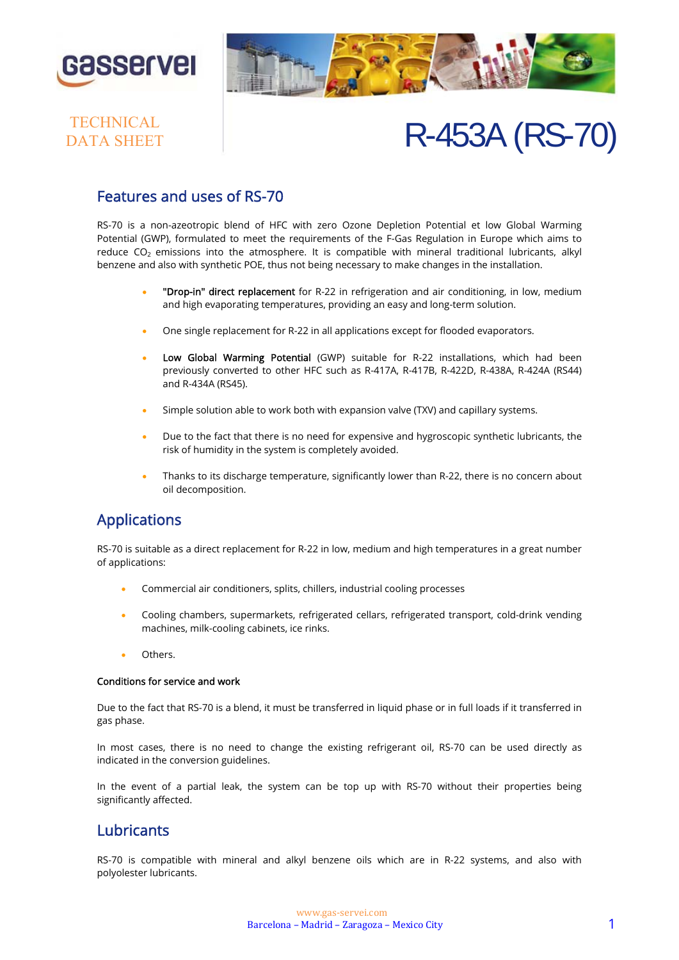



# DATA SHEET

# TECHNICAL<br>DATA SHEET R-453A (RS-70)

### Features and uses of RS-70

RS-70 is a non-azeotropic blend of HFC with zero Ozone Depletion Potential et low Global Warming Potential (GWP), formulated to meet the requirements of the F-Gas Regulation in Europe which aims to reduce  $CO<sub>2</sub>$  emissions into the atmosphere. It is compatible with mineral traditional lubricants, alkyl benzene and also with synthetic POE, thus not being necessary to make changes in the installation.

- "Drop-in" direct replacement for R-22 in refrigeration and air conditioning, in low, medium and high evaporating temperatures, providing an easy and long-term solution.
- One single replacement for R-22 in all applications except for flooded evaporators.
- Low Global Warming Potential (GWP) suitable for R-22 installations, which had been previously converted to other HFC such as R-417A, R-417B, R-422D, R-438A, R-424A (RS44) and R-434A (RS45).
- Simple solution able to work both with expansion valve (TXV) and capillary systems.
- Due to the fact that there is no need for expensive and hygroscopic synthetic lubricants, the risk of humidity in the system is completely avoided.
- Thanks to its discharge temperature, significantly lower than R-22, there is no concern about oil decomposition.

### Applications

RS-70 is suitable as a direct replacement for R-22 in low, medium and high temperatures in a great number of applications:

- Commercial air conditioners, splits, chillers, industrial cooling processes
- Cooling chambers, supermarkets, refrigerated cellars, refrigerated transport, cold-drink vending machines, milk-cooling cabinets, ice rinks.
- **Others**

#### Conditions for service and work

Due to the fact that RS-70 is a blend, it must be transferred in liquid phase or in full loads if it transferred in gas phase.

In most cases, there is no need to change the existing refrigerant oil, RS-70 can be used directly as indicated in the conversion guidelines.

In the event of a partial leak, the system can be top up with RS-70 without their properties being significantly affected.

### **Lubricants**

RS-70 is compatible with mineral and alkyl benzene oils which are in R-22 systems, and also with polyolester lubricants.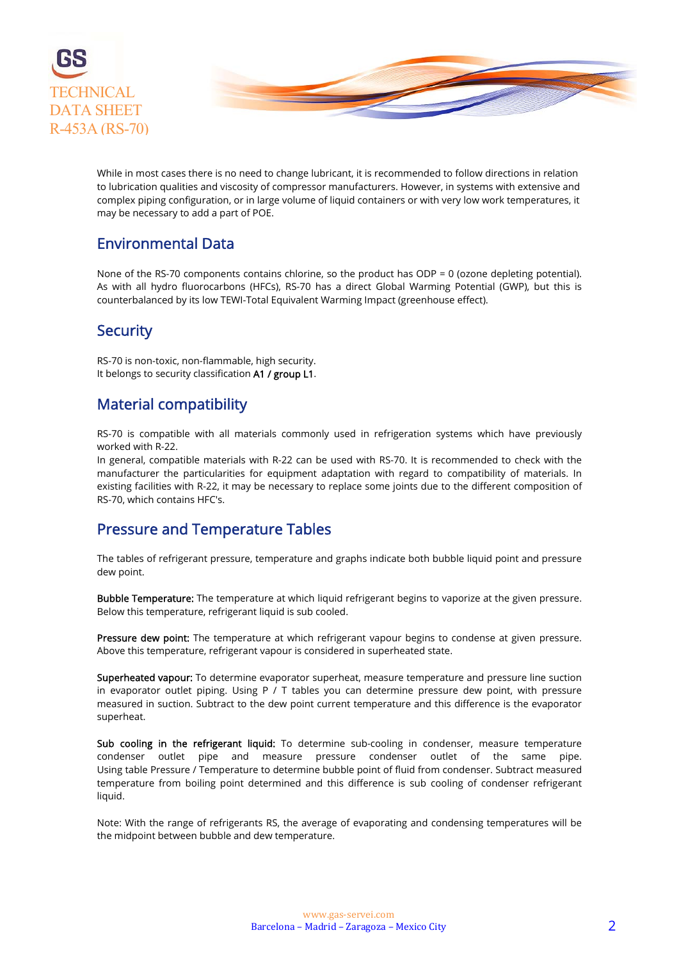

While in most cases there is no need to change lubricant, it is recommended to follow directions in relation to lubrication qualities and viscosity of compressor manufacturers. However, in systems with extensive and complex piping configuration, or in large volume of liquid containers or with very low work temperatures, it may be necessary to add a part of POE.

### Environmental Data

None of the RS-70 components contains chlorine, so the product has ODP = 0 (ozone depleting potential). As with all hydro fluorocarbons (HFCs), RS-70 has a direct Global Warming Potential (GWP), but this is counterbalanced by its low TEWI-Total Equivalent Warming Impact (greenhouse effect).

### **Security**

RS-70 is non-toxic, non-flammable, high security. It belongs to security classification A1 / group L1.

### Material compatibility

RS-70 is compatible with all materials commonly used in refrigeration systems which have previously worked with R-22.

In general, compatible materials with R-22 can be used with RS-70. It is recommended to check with the manufacturer the particularities for equipment adaptation with regard to compatibility of materials. In existing facilities with R-22, it may be necessary to replace some joints due to the different composition of RS-70, which contains HFC's.

### Pressure and Temperature Tables

The tables of refrigerant pressure, temperature and graphs indicate both bubble liquid point and pressure dew point.

Bubble Temperature: The temperature at which liquid refrigerant begins to vaporize at the given pressure. Below this temperature, refrigerant liquid is sub cooled.

Pressure dew point: The temperature at which refrigerant vapour begins to condense at given pressure. Above this temperature, refrigerant vapour is considered in superheated state.

Superheated vapour: To determine evaporator superheat, measure temperature and pressure line suction in evaporator outlet piping. Using P / T tables you can determine pressure dew point, with pressure measured in suction. Subtract to the dew point current temperature and this difference is the evaporator superheat.

Sub cooling in the refrigerant liquid: To determine sub-cooling in condenser, measure temperature condenser outlet pipe and measure pressure condenser outlet of the same pipe. Using table Pressure / Temperature to determine bubble point of fluid from condenser. Subtract measured temperature from boiling point determined and this difference is sub cooling of condenser refrigerant liquid.

Note: With the range of refrigerants RS, the average of evaporating and condensing temperatures will be the midpoint between bubble and dew temperature.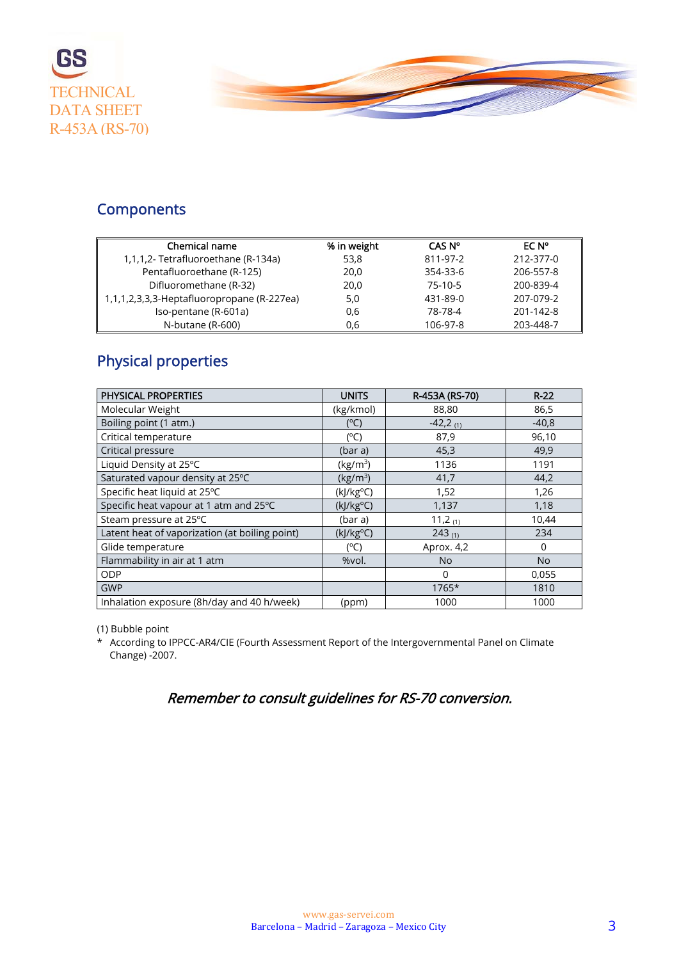



### **Components**

| Chemical name                              | % in weight | CAS N°   | EC N°     |
|--------------------------------------------|-------------|----------|-----------|
| 1,1,1,2- Tetrafluoroethane (R-134a)        | 53,8        | 811-97-2 | 212-377-0 |
| Pentafluoroethane (R-125)                  | 20,0        | 354-33-6 | 206-557-8 |
| Difluoromethane (R-32)                     | 20,0        | 75-10-5  | 200-839-4 |
| 1,1,1,2,3,3,3-Heptafluoropropane (R-227ea) | 5,0         | 431-89-0 | 207-079-2 |
| Iso-pentane (R-601a)                       | 0,6         | 78-78-4  | 201-142-8 |
| N-butane (R-600)                           | 0.6         | 106-97-8 | 203-448-7 |

### Physical properties

| PHYSICAL PROPERTIES                            | <b>UNITS</b>         | R-453A (RS-70)         | $R-22$    |
|------------------------------------------------|----------------------|------------------------|-----------|
| Molecular Weight                               | (kg/kmol)            | 88,80                  | 86,5      |
| Boiling point (1 atm.)                         | (°C)                 | $-42,2$ <sub>(1)</sub> | $-40,8$   |
| Critical temperature                           | (°C)                 | 87,9                   | 96,10     |
| Critical pressure                              | (bar a)              | 45,3                   | 49,9      |
| Liquid Density at 25°C                         | (kg/m <sup>3</sup> ) | 1136                   | 1191      |
| Saturated vapour density at 25°C               | (kg/m <sup>3</sup> ) | 41,7                   | 44,2      |
| Specific heat liquid at 25°C                   | $(k]/kg^oC)$         | 1,52                   | 1,26      |
| Specific heat vapour at 1 atm and 25°C         | (kJ/kg°C)            | 1,137                  | 1,18      |
| Steam pressure at 25°C                         | (bar a)              | 11,2 $(1)$             | 10,44     |
| Latent heat of vaporization (at boiling point) | $(k]/kg^oC)$         | $243_{(1)}$            | 234       |
| Glide temperature                              | (°C)                 | Aprox. 4,2             | $\Omega$  |
| Flammability in air at 1 atm                   | %vol.                | <b>No</b>              | <b>No</b> |
| ODP                                            |                      | $\Omega$               | 0,055     |
| <b>GWP</b>                                     |                      | 1765*                  | 1810      |
| Inhalation exposure (8h/day and 40 h/week)     | (ppm)                | 1000                   | 1000      |

(1) Bubble point

\* According to IPPCC-AR4/CIE (Fourth Assessment Report of the Intergovernmental Panel on Climate Change) -2007.

Remember to consult guidelines for RS-70 conversion.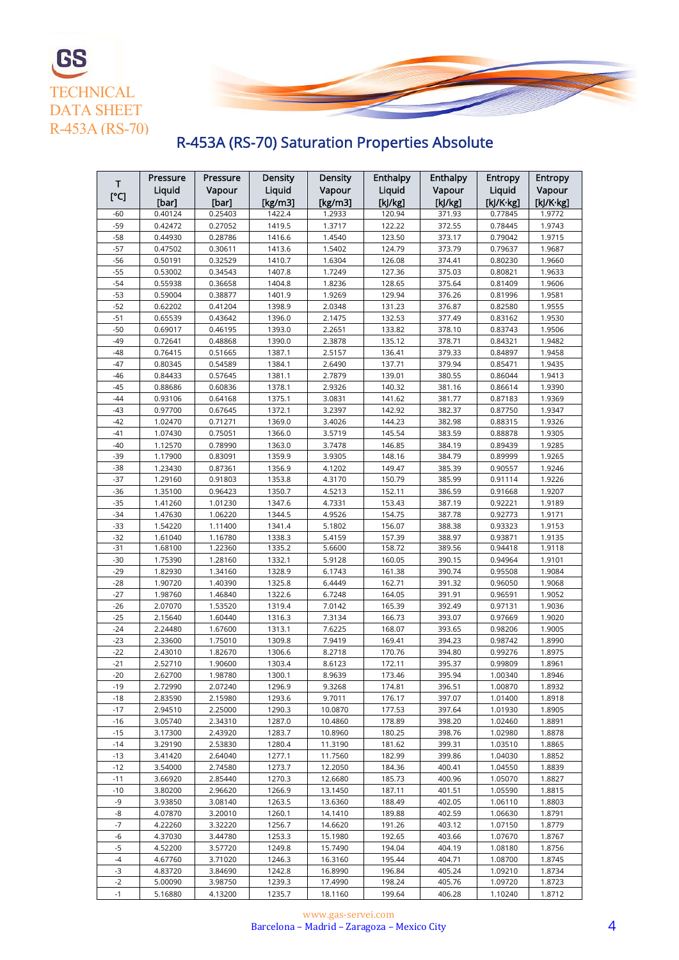

## R-453A (RS-70) Saturation Properties Absolute

|       | Pressure | Pressure | Density     | Density     | Enthalpy | Enthalpy | <b>Entropy</b> | <b>Entropy</b> |
|-------|----------|----------|-------------|-------------|----------|----------|----------------|----------------|
| T     | Liquid   | Vapour   | Liquid      | Vapour      | Liquid   | Vapour   | Liquid         | Vapour         |
| [°C]  | [bar]    | [bar]    | [ $kg/m3$ ] | [ $kg/m3$ ] | [kJ/kg]  | [kJ/kg]  | [kJ/K·kg]      | [kJ/K·kg]      |
| -60   | 0.40124  | 0.25403  | 1422.4      | 1.2933      | 120.94   | 371.93   | 0.77845        | 1.9772         |
| $-59$ | 0.42472  | 0.27052  | 1419.5      | 1.3717      | 122.22   | 372.55   | 0.78445        | 1.9743         |
| $-58$ | 0.44930  | 0.28786  | 1416.6      | 1.4540      | 123.50   | 373.17   | 0.79042        | 1.9715         |
| $-57$ | 0.47502  | 0.30611  | 1413.6      | 1.5402      | 124.79   | 373.79   | 0.79637        | 1.9687         |
| $-56$ | 0.50191  | 0.32529  | 1410.7      | 1.6304      | 126.08   | 374.41   | 0.80230        | 1.9660         |
| $-55$ | 0.53002  | 0.34543  | 1407.8      | 1.7249      | 127.36   | 375.03   | 0.80821        | 1.9633         |
| $-54$ | 0.55938  | 0.36658  | 1404.8      | 1.8236      | 128.65   | 375.64   | 0.81409        | 1.9606         |
| $-53$ | 0.59004  | 0.38877  | 1401.9      | 1.9269      | 129.94   | 376.26   | 0.81996        | 1.9581         |
| $-52$ | 0.62202  | 0.41204  | 1398.9      | 2.0348      | 131.23   | 376.87   | 0.82580        | 1.9555         |
| $-51$ | 0.65539  | 0.43642  | 1396.0      | 2.1475      | 132.53   | 377.49   | 0.83162        | 1.9530         |
| $-50$ | 0.69017  | 0.46195  | 1393.0      | 2.2651      | 133.82   | 378.10   | 0.83743        | 1.9506         |
| $-49$ | 0.72641  | 0.48868  | 1390.0      | 2.3878      | 135.12   | 378.71   | 0.84321        | 1.9482         |
| $-48$ | 0.76415  | 0.51665  | 1387.1      | 2.5157      | 136.41   | 379.33   | 0.84897        | 1.9458         |
| $-47$ | 0.80345  | 0.54589  | 1384.1      | 2.6490      | 137.71   | 379.94   | 0.85471        | 1.9435         |
| $-46$ | 0.84433  | 0.57645  | 1381.1      | 2.7879      | 139.01   | 380.55   | 0.86044        | 1.9413         |
| $-45$ | 0.88686  | 0.60836  | 1378.1      | 2.9326      | 140.32   | 381.16   | 0.86614        | 1.9390         |
| $-44$ | 0.93106  | 0.64168  | 1375.1      | 3.0831      | 141.62   | 381.77   | 0.87183        | 1.9369         |
| $-43$ | 0.97700  | 0.67645  | 1372.1      | 3.2397      | 142.92   | 382.37   | 0.87750        | 1.9347         |
| $-42$ | 1.02470  | 0.71271  | 1369.0      | 3.4026      | 144.23   | 382.98   | 0.88315        | 1.9326         |
| $-41$ | 1.07430  | 0.75051  | 1366.0      | 3.5719      | 145.54   | 383.59   | 0.88878        | 1.9305         |
| $-40$ | 1.12570  | 0.78990  | 1363.0      | 3.7478      | 146.85   | 384.19   | 0.89439        | 1.9285         |
| $-39$ | 1.17900  | 0.83091  | 1359.9      | 3.9305      | 148.16   | 384.79   | 0.89999        | 1.9265         |
| $-38$ | 1.23430  | 0.87361  | 1356.9      | 4.1202      | 149.47   | 385.39   | 0.90557        | 1.9246         |
| $-37$ | 1.29160  | 0.91803  | 1353.8      | 4.3170      | 150.79   | 385.99   | 0.91114        | 1.9226         |
| $-36$ | 1.35100  | 0.96423  | 1350.7      | 4.5213      | 152.11   | 386.59   | 0.91668        | 1.9207         |
| $-35$ | 1.41260  | 1.01230  | 1347.6      | 4.7331      | 153.43   | 387.19   | 0.92221        | 1.9189         |
| $-34$ | 1.47630  | 1.06220  | 1344.5      | 4.9526      | 154.75   | 387.78   | 0.92773        | 1.9171         |
| $-33$ | 1.54220  | 1.11400  | 1341.4      | 5.1802      | 156.07   | 388.38   | 0.93323        | 1.9153         |
| $-32$ | 1.61040  | 1.16780  | 1338.3      | 5.4159      | 157.39   | 388.97   | 0.93871        | 1.9135         |
| $-31$ | 1.68100  | 1.22360  | 1335.2      | 5.6600      | 158.72   | 389.56   | 0.94418        | 1.9118         |
| $-30$ | 1.75390  | 1.28160  | 1332.1      | 5.9128      | 160.05   | 390.15   | 0.94964        | 1.9101         |
| $-29$ | 1.82930  | 1.34160  | 1328.9      | 6.1743      | 161.38   | 390.74   | 0.95508        | 1.9084         |
| $-28$ | 1.90720  | 1.40390  | 1325.8      | 6.4449      | 162.71   | 391.32   | 0.96050        | 1.9068         |
| $-27$ | 1.98760  | 1.46840  | 1322.6      | 6.7248      | 164.05   | 391.91   | 0.96591        | 1.9052         |
| $-26$ | 2.07070  | 1.53520  | 1319.4      | 7.0142      | 165.39   | 392.49   | 0.97131        | 1.9036         |
| $-25$ | 2.15640  | 1.60440  | 1316.3      | 7.3134      | 166.73   | 393.07   | 0.97669        | 1.9020         |
| $-24$ | 2.24480  | 1.67600  | 1313.1      | 7.6225      | 168.07   | 393.65   | 0.98206        | 1.9005         |
| $-23$ | 2.33600  | 1.75010  | 1309.8      | 7.9419      | 169.41   | 394.23   | 0.98742        | 1.8990         |
| $-22$ | 2.43010  | 1.82670  | 1306.6      | 8.2718      | 170.76   | 394.80   | 0.99276        | 1.8975         |
| $-21$ | 2.52710  | 1.90600  | 1303.4      | 8.6123      | 172.11   | 395.37   | 0.99809        | 1.8961         |
| $-20$ | 2.62700  | 1.98780  | 1300.1      | 8.9639      | 173.46   | 395.94   | 1.00340        | 1.8946         |
| $-19$ | 2.72990  | 2.07240  | 1296.9      | 9.3268      | 174.81   | 396.51   | 1.00870        | 1.8932         |
| $-18$ | 2.83590  | 2.15980  | 1293.6      | 9.7011      | 176.17   | 397.07   | 1.01400        | 1.8918         |
| $-17$ | 2.94510  | 2.25000  | 1290.3      | 10.0870     | 177.53   | 397.64   | 1.01930        | 1.8905         |
| $-16$ | 3.05740  | 2.34310  | 1287.0      | 10.4860     | 178.89   | 398.20   | 1.02460        | 1.8891         |
| $-15$ | 3.17300  | 2.43920  | 1283.7      | 10.8960     | 180.25   | 398.76   | 1.02980        | 1.8878         |
| $-14$ | 3.29190  | 2.53830  | 1280.4      | 11.3190     | 181.62   | 399.31   | 1.03510        | 1.8865         |
| $-13$ | 3.41420  | 2.64040  | 1277.1      | 11.7560     | 182.99   | 399.86   | 1.04030        | 1.8852         |
| $-12$ | 3.54000  | 2.74580  | 1273.7      | 12.2050     | 184.36   | 400.41   | 1.04550        | 1.8839         |
| $-11$ | 3.66920  | 2.85440  | 1270.3      | 12.6680     | 185.73   | 400.96   | 1.05070        | 1.8827         |
| $-10$ | 3.80200  | 2.96620  | 1266.9      | 13.1450     | 187.11   | 401.51   | 1.05590        | 1.8815         |
| -9    | 3.93850  | 3.08140  | 1263.5      | 13.6360     | 188.49   | 402.05   | 1.06110        | 1.8803         |
| -8    | 4.07870  | 3.20010  | 1260.1      | 14.1410     | 189.88   | 402.59   | 1.06630        | 1.8791         |
| $-7$  | 4.22260  | 3.32220  | 1256.7      | 14.6620     | 191.26   | 403.12   | 1.07150        | 1.8779         |
| -6    | 4.37030  | 3.44780  | 1253.3      | 15.1980     | 192.65   | 403.66   | 1.07670        | 1.8767         |
| $-5$  | 4.52200  | 3.57720  | 1249.8      | 15.7490     | 194.04   | 404.19   | 1.08180        | 1.8756         |
| $-4$  | 4.67760  | 3.71020  | 1246.3      | 16.3160     | 195.44   | 404.71   | 1.08700        | 1.8745         |
| $-3$  | 4.83720  | 3.84690  | 1242.8      | 16.8990     | 196.84   | 405.24   | 1.09210        | 1.8734         |
| $-2$  | 5.00090  | 3.98750  | 1239.3      | 17.4990     | 198.24   | 405.76   | 1.09720        | 1.8723         |
| $-1$  | 5.16880  | 4.13200  | 1235.7      | 18.1160     | 199.64   | 406.28   | 1.10240        | 1.8712         |
|       |          |          |             |             |          |          |                |                |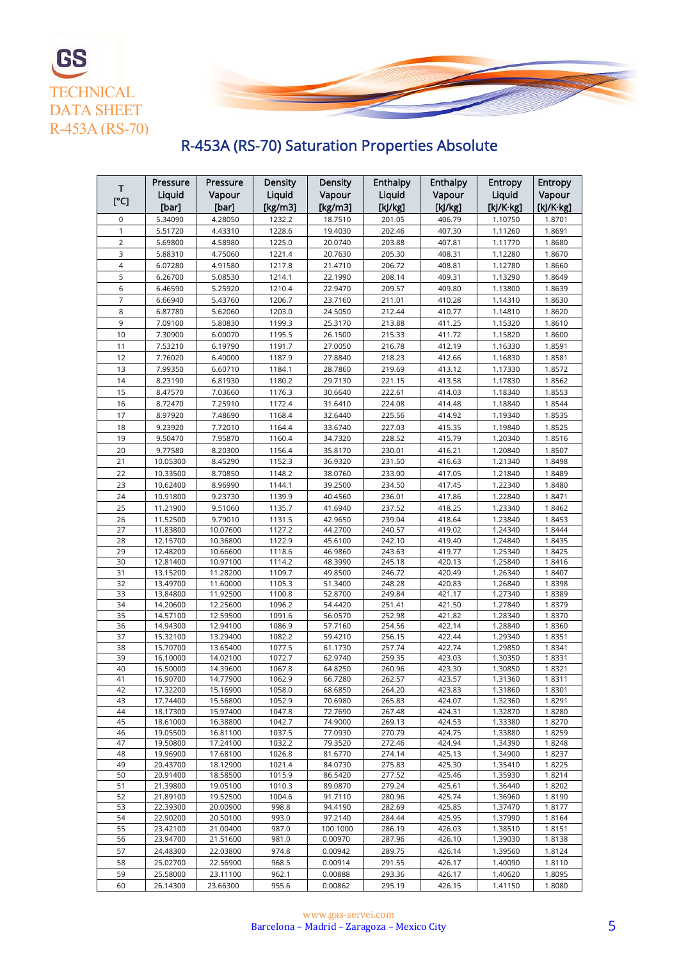

# R-453A (RS-70) Saturation Properties Absolute

**TECHNICAL** 

**GS** 

| т<br>[°C]      | Pressure<br>Liquid   | Pressure<br>Vapour   | Density<br>Liquid | Density<br>Vapour  | Enthalpy<br>Liquid | <b>Enthalpy</b><br>Vapour | Entropy<br>Liquid  | <b>Entropy</b><br>Vapour |
|----------------|----------------------|----------------------|-------------------|--------------------|--------------------|---------------------------|--------------------|--------------------------|
|                | [bar]                | [bar]                | [ $kg/m3$ ]       | [kg/m3]            | [k]/kg]            | [k]/kg]                   | [kJ/K·kg]          | [kJ/K·kg]                |
| 0              | 5.34090              | 4.28050              | 1232.2            | 18.7510            | 201.05             | 406.79                    | 1.10750            | 1.8701                   |
| 1              | 5.51720              | 4.43310              | 1228.6            | 19.4030            | 202.46             | 407.30                    | 1.11260            | 1.8691                   |
| $\overline{2}$ | 5.69800              | 4.58980              | 1225.0            | 20.0740            | 203.88             | 407.81                    | 1.11770            | 1.8680                   |
| 3              | 5.88310              | 4.75060              | 1221.4            | 20.7630            | 205.30             | 408.31                    | 1.12280            | 1.8670                   |
| 4              | 6.07280              | 4.91580              | 1217.8            | 21.4710            | 206.72             | 408.81                    | 1.12780            | 1.8660                   |
| 5              | 6.26700              | 5.08530              | 1214.1            | 22.1990            | 208.14             | 409.31                    | 1.13290            | 1.8649                   |
| 6              | 6.46590              | 5.25920              | 1210.4            | 22.9470            | 209.57             | 409.80                    | 1.13800            | 1.8639                   |
| $\overline{7}$ | 6.66940              | 5.43760              | 1206.7            | 23.7160            | 211.01             | 410.28                    | 1.14310            | 1.8630                   |
| 8              | 6.87780              | 5.62060              | 1203.0            | 24.5050            | 212.44             | 410.77                    | 1.14810            | 1.8620                   |
| 9              | 7.09100              | 5.80830              | 1199.3            | 25.3170            | 213.88             | 411.25                    | 1.15320            | 1.8610                   |
| 10             | 7.30900              | 6.00070              | 1195.5            | 26.1500            | 215.33             | 411.72                    | 1.15820            | 1.8600                   |
| 11             | 7.53210              | 6.19790              | 1191.7            | 27.0050            | 216.78             | 412.19                    | 1.16330            | 1.8591                   |
| 12             | 7.76020              | 6.40000              | 1187.9            | 27.8840            | 218.23             | 412.66                    | 1.16830            | 1.8581                   |
| 13             | 7.99350              | 6.60710              | 1184.1            | 28.7860            | 219.69             | 413.12                    | 1.17330            | 1.8572                   |
| 14             | 8.23190              | 6.81930              | 1180.2            | 29.7130            | 221.15             | 413.58                    | 1.17830            | 1.8562                   |
| 15             | 8.47570              | 7.03660              | 1176.3            | 30.6640            | 222.61             | 414.03                    | 1.18340            | 1.8553                   |
| 16             | 8.72470              | 7.25910              | 1172.4            | 31.6410            | 224.08             | 414.48                    | 1.18840            | 1.8544                   |
| 17             | 8.97920              | 7.48690              | 1168.4            | 32.6440            | 225.56             | 414.92                    | 1.19340            | 1.8535                   |
| 18             | 9.23920              | 7.72010              | 1164.4            | 33.6740            | 227.03             | 415.35                    | 1.19840            | 1.8525                   |
| 19             | 9.50470              | 7.95870              | 1160.4            | 34.7320            | 228.52             | 415.79                    | 1.20340            | 1.8516                   |
| 20             | 9.77580              | 8.20300              | 1156.4            | 35.8170            | 230.01             | 416.21                    | 1.20840            | 1.8507                   |
| 21             | 10.05300             | 8.45290              | 1152.3            | 36.9320            | 231.50             | 416.63                    | 1.21340            | 1.8498                   |
| 22             | 10.33500             | 8.70850              | 1148.2            | 38.0760            | 233.00             | 417.05                    | 1.21840            | 1.8489                   |
| 23             | 10.62400             | 8.96990              | 1144.1            | 39.2500            | 234.50             | 417.45                    | 1.22340            | 1.8480                   |
| 24             | 10.91800             | 9.23730              | 1139.9            | 40.4560            | 236.01             | 417.86                    | 1.22840            | 1.8471                   |
| 25             | 11.21900             | 9.51060              | 1135.7            | 41.6940            | 237.52             | 418.25                    | 1.23340            | 1.8462                   |
| 26             | 11.52500             | 9.79010              | 1131.5            | 42.9650            | 239.04             | 418.64                    | 1.23840            | 1.8453                   |
| 27<br>28       | 11.83800<br>12.15700 | 10.07600<br>10.36800 | 1127.2<br>1122.9  | 44.2700<br>45.6100 | 240.57<br>242.10   | 419.02<br>419.40          | 1.24340<br>1.24840 | 1.8444<br>1.8435         |
| 29             | 12.48200             | 10.66600             | 1118.6            | 46.9860            | 243.63             | 419.77                    | 1.25340            | 1.8425                   |
| 30             | 12.81400             | 10.97100             | 1114.2            | 48.3990            | 245.18             | 420.13                    | 1.25840            | 1.8416                   |
| 31             | 13.15200             | 11.28200             | 1109.7            | 49.8500            | 246.72             | 420.49                    | 1.26340            | 1.8407                   |
| 32             | 13.49700             | 11.60000             | 1105.3            | 51.3400            | 248.28             | 420.83                    | 1.26840            | 1.8398                   |
| 33             | 13.84800             | 11.92500             | 1100.8            | 52.8700            | 249.84             | 421.17                    | 1.27340            | 1.8389                   |
| 34             | 14.20600             | 12.25600             | 1096.2            | 54.4420            | 251.41             | 421.50                    | 1.27840            | 1.8379                   |
| 35             | 14.57100             | 12.59500             | 1091.6            | 56.0570            | 252.98             | 421.82                    | 1.28340            | 1.8370                   |
| 36             | 14.94300             | 12.94100             | 1086.9            | 57.7160            | 254.56             | 422.14                    | 1.28840            | 1.8360                   |
| 37             | 15.32100             | 13.29400             | 1082.2            | 59.4210            | 256.15             | 422.44                    | 1.29340            | 1.8351                   |
| 38             | 15.70700             | 13.65400             | 1077.5<br>1072.7  | 61.1730<br>62.9740 | 257.74             | 422.74                    | 1.29850            | 1.8341                   |
| 39<br>40       | 16.10000<br>16.50000 | 14.02100<br>14.39600 | 1067.8            | 64.8250            | 259.35<br>260.96   | 423.03<br>423.30          | 1.30350<br>1.30850 | 1.8331<br>1.8321         |
| 41             | 16.90700             | 14.77900             | 1062.9            | 66.7280            | 262.57             | 423.57                    | 1.31360            | 1.8311                   |
| 42             | 17.32200             | 15.16900             | 1058.0            | 68.6850            | 264.20             | 423.83                    | 1.31860            | 1.8301                   |
| 43             | 17.74400             | 15.56800             | 1052.9            | 70.6980            | 265.83             | 424.07                    | 1.32360            | 1.8291                   |
| 44             | 18.17300             | 15.97400             | 1047.8            | 72.7690            | 267.48             | 424.31                    | 1.32870            | 1.8280                   |
| 45             | 18.61000             | 16.38800             | 1042.7            | 74.9000            | 269.13             | 424.53                    | 1.33380            | 1.8270                   |
| 46             | 19.05500             | 16.81100             | 1037.5            | 77.0930            | 270.79             | 424.75                    | 1.33880            | 1.8259                   |
| 47             | 19.50800             | 17.24100             | 1032.2            | 79.3520            | 272.46             | 424.94                    | 1.34390            | 1.8248                   |
| 48             | 19.96900             | 17.68100             | 1026.8            | 81.6770            | 274.14             | 425.13                    | 1.34900            | 1.8237                   |
| 49             | 20.43700             | 18.12900             | 1021.4            | 84.0730            | 275.83             | 425.30                    | 1.35410            | 1.8225                   |
| 50             | 20.91400             | 18.58500             | 1015.9            | 86.5420            | 277.52             | 425.46                    | 1.35930            | 1.8214                   |
| 51             | 21.39800             | 19.05100<br>19.52500 | 1010.3            | 89.0870            | 279.24             | 425.61                    | 1.36440            | 1.8202                   |
| 52<br>53       | 21.89100<br>22.39300 | 20.00900             | 1004.6<br>998.8   | 91.7110<br>94.4190 | 280.96<br>282.69   | 425.74<br>425.85          | 1.36960<br>1.37470 | 1.8190<br>1.8177         |
| 54             | 22.90200             | 20.50100             | 993.0             | 97.2140            | 284.44             | 425.95                    | 1.37990            | 1.8164                   |
| 55             | 23.42100             | 21.00400             | 987.0             | 100.1000           | 286.19             | 426.03                    | 1.38510            | 1.8151                   |
| 56             | 23.94700             | 21.51600             | 981.0             | 0.00970            | 287.96             | 426.10                    | 1.39030            | 1.8138                   |
| 57             | 24.48300             | 22.03800             | 974.8             | 0.00942            | 289.75             | 426.14                    | 1.39560            | 1.8124                   |
| 58             | 25.02700             | 22.56900             | 968.5             | 0.00914            | 291.55             | 426.17                    | 1.40090            | 1.8110                   |
| 59             | 25.58000             | 23.11100             | 962.1             | 0.00888            | 293.36             | 426.17                    | 1.40620            | 1.8095                   |
| 60             | 26.14300             | 23.66300             | 955.6             | 0.00862            | 295.19             | 426.15                    | 1.41150            | 1.8080                   |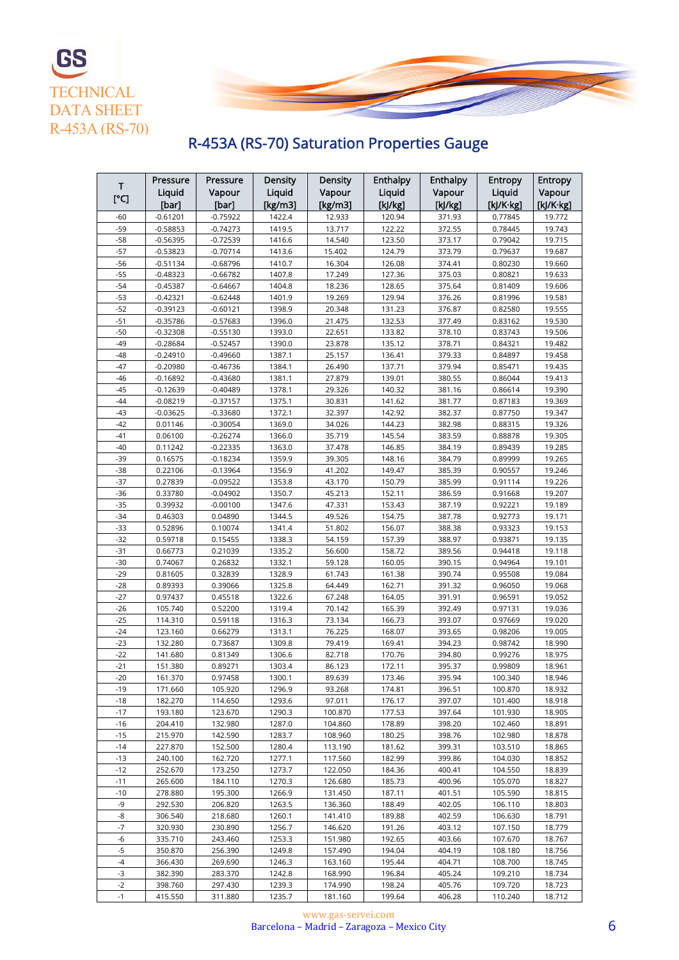

## R-453A (RS-70) Saturation Properties Gauge

**TECHNICAL** DATA SHEET R-453A (RS-70)

**GS** 

| Т              | Pressure                 | Pressure                 | <b>Density</b>   | Density            | <b>Enthalpy</b>  | Enthalpy         | <b>Entropy</b>     | <b>Entropy</b>   |
|----------------|--------------------------|--------------------------|------------------|--------------------|------------------|------------------|--------------------|------------------|
| $[^{\circ}C]$  | Liquid                   | Vapour                   | Liquid           | Vapour             | Liquid           | Vapour           | Liquid             | Vapour           |
|                | [bar]                    | [bar]                    | [ $kg/m3$ ]      | [ $kg/m3$ ]        | [k]/kg]          | [k]/kg]          | [kJ/K·kg]          | [kJ/K·kg]        |
| $-60$          | $-0.61201$               | $-0.75922$               | 1422.4           | 12.933             | 120.94           | 371.93           | 0.77845            | 19.772           |
| $-59$          | $-0.58853$               | $-0.74273$               | 1419.5           | 13.717             | 122.22           | 372.55           | 0.78445            | 19.743           |
| $-58$          | $-0.56395$               | $-0.72539$               | 1416.6           | 14.540             | 123.50           | 373.17           | 0.79042            | 19.715           |
| $-57$          | $-0.53823$               | $-0.70714$               | 1413.6           | 15.402             | 124.79           | 373.79           | 0.79637            | 19.687           |
| $-56$          | $-0.51134$               | $-0.68796$               | 1410.7           | 16.304             | 126.08           | 374.41           | 0.80230            | 19.660           |
| $-55$          | -0.48323                 | $-0.66782$               | 1407.8           | 17.249             | 127.36           | 375.03           | 0.80821            | 19.633           |
| $-54$          | $-0.45387$               | $-0.64667$               | 1404.8           | 18.236             | 128.65           | 375.64           | 0.81409            | 19.606           |
| $-53$          | $-0.42321$               | $-0.62448$               | 1401.9           | 19.269             | 129.94           | 376.26           | 0.81996            | 19.581           |
| $-52$          | -0.39123                 | $-0.60121$               | 1398.9           | 20.348             | 131.23           | 376.87           | 0.82580            | 19.555           |
| $-51$          | $-0.35786$               | $-0.57683$               | 1396.0           | 21.475             | 132.53           | 377.49           | 0.83162            | 19.530           |
| $-50$<br>$-49$ | $-0.32308$<br>$-0.28684$ | $-0.55130$               | 1393.0           | 22.651             | 133.82           | 378.10<br>378.71 | 0.83743            | 19.506<br>19.482 |
| $-48$          | $-0.24910$               | $-0.52457$<br>$-0.49660$ | 1390.0<br>1387.1 | 23.878<br>25.157   | 135.12<br>136.41 | 379.33           | 0.84321<br>0.84897 | 19.458           |
| $-47$          | $-0.20980$               | $-0.46736$               | 1384.1           | 26.490             | 137.71           | 379.94           | 0.85471            | 19.435           |
| -46            | $-0.16892$               | $-0.43680$               | 1381.1           | 27.879             | 139.01           | 380.55           | 0.86044            | 19.413           |
| $-45$          | -0.12639                 | $-0.40489$               | 1378.1           | 29.326             | 140.32           | 381.16           | 0.86614            | 19.390           |
| $-44$          | $-0.08219$               | $-0.37157$               | 1375.1           | 30.831             | 141.62           | 381.77           | 0.87183            | 19.369           |
| $-43$          | $-0.03625$               | $-0.33680$               | 1372.1           | 32.397             | 142.92           | 382.37           | 0.87750            | 19.347           |
| $-42$          | 0.01146                  | $-0.30054$               | 1369.0           | 34.026             | 144.23           | 382.98           | 0.88315            | 19.326           |
| $-41$          | 0.06100                  | $-0.26274$               | 1366.0           | 35.719             | 145.54           | 383.59           | 0.88878            | 19.305           |
| $-40$          | 0.11242                  | $-0.22335$               | 1363.0           | 37.478             | 146.85           | 384.19           | 0.89439            | 19.285           |
| $-39$          | 0.16575                  | $-0.18234$               | 1359.9           | 39.305             | 148.16           | 384.79           | 0.89999            | 19.265           |
| $-38$          | 0.22106                  | $-0.13964$               | 1356.9           | 41.202             | 149.47           | 385.39           | 0.90557            | 19.246           |
| $-37$          | 0.27839                  | $-0.09522$               | 1353.8           | 43.170             | 150.79           | 385.99           | 0.91114            | 19.226           |
| $-36$          | 0.33780                  | $-0.04902$               | 1350.7           | 45.213             | 152.11           | 386.59           | 0.91668            | 19.207           |
| $-35$          | 0.39932                  | $-0.00100$               | 1347.6           | 47.331             | 153.43           | 387.19           | 0.92221            | 19.189           |
| $-34$          | 0.46303                  | 0.04890                  | 1344.5           | 49.526             | 154.75           | 387.78           | 0.92773            | 19.171           |
| -33<br>$-32$   | 0.52896                  | 0.10074                  | 1341.4           | 51.802             | 156.07           | 388.38           | 0.93323            | 19.153           |
| $-31$          | 0.59718<br>0.66773       | 0.15455<br>0.21039       | 1338.3<br>1335.2 | 54.159<br>56.600   | 157.39<br>158.72 | 388.97<br>389.56 | 0.93871<br>0.94418 | 19.135<br>19.118 |
| $-30$          | 0.74067                  | 0.26832                  | 1332.1           | 59.128             | 160.05           | 390.15           | 0.94964            | 19.101           |
| $-29$          | 0.81605                  | 0.32839                  | 1328.9           | 61.743             | 161.38           | 390.74           | 0.95508            | 19.084           |
| $-28$          | 0.89393                  | 0.39066                  | 1325.8           | 64.449             | 162.71           | 391.32           | 0.96050            | 19.068           |
| $-27$          | 0.97437                  | 0.45518                  | 1322.6           | 67.248             | 164.05           | 391.91           | 0.96591            | 19.052           |
| $-26$          | 105.740                  | 0.52200                  | 1319.4           | 70.142             | 165.39           | 392.49           | 0.97131            | 19.036           |
| $-25$          | 114.310                  | 0.59118                  | 1316.3           | 73.134             | 166.73           | 393.07           | 0.97669            | 19.020           |
| $-24$          | 123.160                  | 0.66279                  | 1313.1           | 76.225             | 168.07           | 393.65           | 0.98206            | 19.005           |
| $-23$          | 132.280                  | 0.73687                  | 1309.8           | 79.419             | 169.41           | 394.23           | 0.98742            | 18.990           |
| $-22$          | 141.680                  | 0.81349                  | 1306.6           | 82.718             | 170.76           | 394.80           | 0.99276            | 18.975           |
| $-21$          | 151.380                  | 0.89271                  | 1303.4           | 86.123             | 172.11           | 395.37           | 0.99809            | 18.961           |
| $-20$          | 161.370                  | 0.97458                  | 1300.1<br>1296.9 | 89.639             | 173.46           | 395.94           | 100.340            | 18.946           |
| $-19$<br>$-18$ | 171.660<br>182.270       | 105.920<br>114.650       | 1293.6           | 93.268<br>97.011   | 174.81<br>176.17 | 396.51<br>397.07 | 100.870<br>101.400 | 18.932<br>18.918 |
| $-17$          | 193.180                  | 123.670                  | 1290.3           | 100.870            | 177.53           | 397.64           | 101.930            | 18.905           |
| $-16$          | 204.410                  | 132.980                  | 1287.0           | 104.860            | 178.89           | 398.20           | 102.460            | 18.891           |
| $-15$          | 215.970                  | 142.590                  | 1283.7           | 108.960            | 180.25           | 398.76           | 102.980            | 18.878           |
| -14            | 227.870                  | 152.500                  | 1280.4           | 113.190            | 181.62           | 399.31           | 103.510            | 18.865           |
| $-13$          | 240.100                  | 162,720                  | 1277.1           | 117.560            | 182.99           | 399.86           | 104.030            | 18.852           |
| $-12$          | 252.670                  | 173.250                  | 1273.7           | 122.050            | 184.36           | 400.41           | 104.550            | 18.839           |
| $-11$          | 265.600                  | 184.110                  | 1270.3           | 126.680            | 185.73           | 400.96           | 105.070            | 18.827           |
| $-10$          | 278.880                  | 195.300                  | 1266.9           | 131.450            | 187.11           | 401.51           | 105.590            | 18.815           |
| -9             | 292.530                  | 206.820                  | 1263.5           | 136.360            | 188.49           | 402.05           | 106.110            | 18.803           |
| -8             | 306.540                  | 218.680                  | 1260.1           | 141.410            | 189.88           | 402.59           | 106.630            | 18.791           |
| $-7$           | 320.930                  | 230.890                  | 1256.7           | 146.620            | 191.26           | 403.12           | 107.150            | 18.779           |
| -6<br>$-5$     | 335.710<br>350.870       | 243.460<br>256.390       | 1253.3<br>1249.8 | 151.980<br>157.490 | 192.65<br>194.04 | 403.66<br>404.19 | 107.670<br>108.180 | 18.767<br>18.756 |
| $-4$           | 366.430                  | 269.690                  | 1246.3           | 163.160            | 195.44           | 404.71           | 108.700            | 18.745           |
| $-3$           | 382.390                  | 283.370                  | 1242.8           | 168.990            | 196.84           | 405.24           | 109.210            | 18.734           |
| $-2$           | 398.760                  | 297.430                  | 1239.3           | 174.990            | 198.24           | 405.76           | 109.720            | 18.723           |
| $-1$           | 415.550                  | 311.880                  | 1235.7           | 181.160            | 199.64           | 406.28           | 110.240            | 18.712           |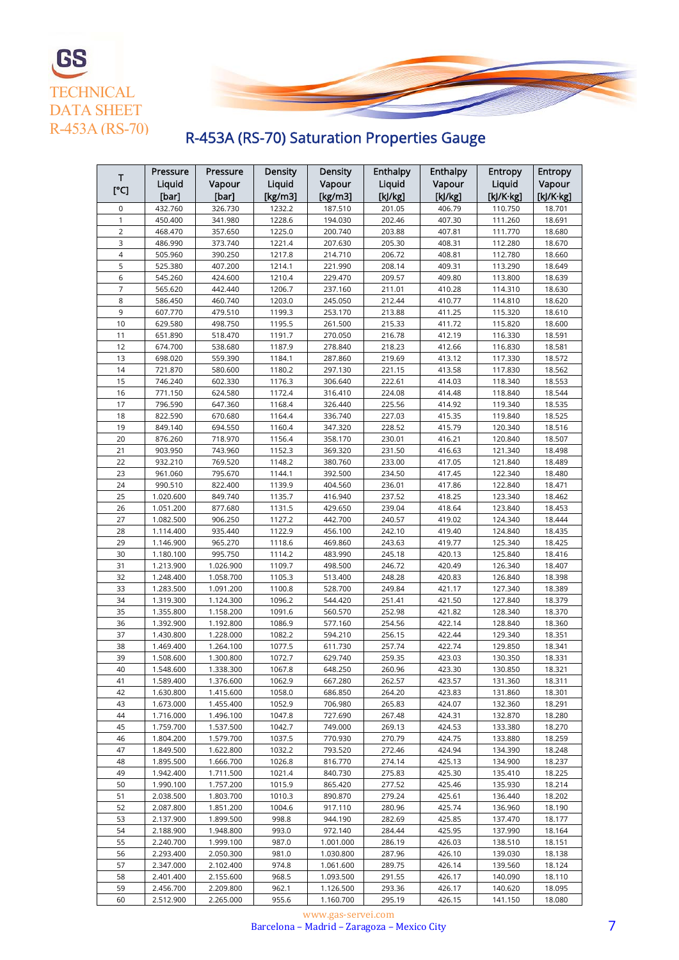



# R-453A (RS-70) Saturation Properties Gauge

|                | Pressure  | Pressure  | Density | Density   | <b>Enthalpy</b> | Enthalpy | <b>Entropy</b>  | <b>Entropy</b> |
|----------------|-----------|-----------|---------|-----------|-----------------|----------|-----------------|----------------|
| Т              | Liquid    | Vapour    | Liquid  | Vapour    | Liquid          | Vapour   | Liquid          | Vapour         |
| [°C]           | [bar]     | [bar]     | [kg/m3] | [kg/m3]   | [k]/kg]         | [k]/kg]  | $[k]/K$ · $kg]$ | [kJ/K·kg]      |
| 0              | 432.760   | 326.730   | 1232.2  | 187.510   | 201.05          | 406.79   | 110.750         | 18.701         |
| 1              | 450.400   | 341.980   | 1228.6  | 194.030   | 202.46          | 407.30   | 111.260         | 18.691         |
| $\overline{2}$ | 468.470   | 357.650   | 1225.0  | 200.740   | 203.88          | 407.81   | 111.770         | 18.680         |
| 3              | 486.990   | 373.740   | 1221.4  | 207.630   | 205.30          | 408.31   | 112.280         | 18.670         |
| $\overline{4}$ | 505.960   | 390.250   | 1217.8  | 214.710   | 206.72          | 408.81   | 112.780         | 18.660         |
| 5              | 525.380   | 407.200   | 1214.1  | 221.990   | 208.14          | 409.31   | 113.290         | 18.649         |
| 6              | 545.260   | 424.600   | 1210.4  | 229.470   | 209.57          | 409.80   | 113.800         | 18.639         |
| $\overline{7}$ | 565.620   | 442.440   | 1206.7  | 237.160   | 211.01          | 410.28   | 114.310         | 18.630         |
| 8              | 586.450   | 460.740   | 1203.0  | 245.050   | 212.44          | 410.77   | 114.810         | 18.620         |
| 9              | 607.770   | 479.510   | 1199.3  | 253.170   | 213.88          | 411.25   | 115.320         | 18.610         |
| 10             | 629.580   | 498.750   | 1195.5  | 261.500   | 215.33          | 411.72   | 115.820         | 18.600         |
| 11             | 651.890   | 518.470   | 1191.7  | 270.050   | 216.78          | 412.19   | 116.330         | 18.591         |
| 12             | 674.700   | 538.680   | 1187.9  | 278.840   | 218.23          | 412.66   | 116.830         | 18.581         |
| 13             | 698.020   | 559.390   | 1184.1  | 287.860   | 219.69          | 413.12   | 117.330         | 18.572         |
| 14             | 721.870   | 580.600   | 1180.2  | 297.130   | 221.15          | 413.58   | 117.830         | 18.562         |
| 15             | 746.240   | 602.330   | 1176.3  | 306.640   | 222.61          | 414.03   | 118.340         | 18.553         |
| 16             | 771.150   | 624.580   | 1172.4  | 316.410   | 224.08          | 414.48   | 118.840         | 18.544         |
| 17             | 796.590   | 647.360   | 1168.4  | 326.440   | 225.56          | 414.92   | 119.340         | 18.535         |
| 18             | 822.590   | 670.680   | 1164.4  | 336.740   | 227.03          | 415.35   | 119.840         | 18.525         |
| 19             | 849.140   | 694.550   | 1160.4  | 347.320   | 228.52          | 415.79   | 120.340         | 18.516         |
| 20             | 876.260   | 718.970   | 1156.4  | 358.170   | 230.01          | 416.21   | 120.840         | 18.507         |
| 21             | 903.950   | 743.960   | 1152.3  | 369.320   | 231.50          | 416.63   | 121.340         | 18.498         |
| 22             | 932.210   | 769.520   | 1148.2  | 380.760   | 233.00          | 417.05   | 121.840         | 18.489         |
| 23             | 961.060   | 795.670   | 1144.1  | 392.500   | 234.50          | 417.45   | 122.340         | 18.480         |
| 24             | 990.510   | 822.400   | 1139.9  | 404.560   | 236.01          | 417.86   | 122.840         | 18.471         |
| 25             | 1.020.600 | 849.740   | 1135.7  | 416.940   | 237.52          | 418.25   | 123.340         | 18.462         |
| 26             | 1.051.200 | 877.680   | 1131.5  | 429.650   | 239.04          | 418.64   | 123.840         | 18.453         |
| 27             | 1.082.500 | 906.250   | 1127.2  | 442.700   | 240.57          | 419.02   | 124.340         | 18.444         |
| 28             | 1.114.400 | 935.440   | 1122.9  | 456.100   | 242.10          | 419.40   | 124.840         | 18.435         |
| 29             | 1.146.900 | 965.270   | 1118.6  | 469.860   | 243.63          | 419.77   | 125.340         | 18.425         |
| 30             | 1.180.100 | 995.750   | 1114.2  | 483.990   | 245.18          | 420.13   | 125.840         | 18.416         |
| 31             | 1.213.900 | 1.026.900 | 1109.7  | 498.500   | 246.72          | 420.49   | 126.340         | 18.407         |
| 32             | 1.248.400 | 1.058.700 | 1105.3  | 513.400   | 248.28          | 420.83   | 126.840         | 18.398         |
| 33             | 1.283.500 | 1.091.200 | 1100.8  | 528.700   | 249.84          | 421.17   | 127.340         | 18.389         |
| 34             | 1.319.300 | 1.124.300 | 1096.2  | 544.420   | 251.41          | 421.50   | 127.840         | 18.379         |
| 35             | 1.355.800 | 1.158.200 | 1091.6  | 560.570   | 252.98          | 421.82   | 128.340         | 18.370         |
| 36             | 1.392.900 | 1.192.800 | 1086.9  | 577.160   | 254.56          | 422.14   | 128.840         | 18.360         |
| 37             | 1.430.800 | 1.228.000 | 1082.2  | 594.210   | 256.15          | 422.44   | 129.340         | 18.351         |
| 38             | 1.469.400 | 1.264.100 | 1077.5  | 611.730   | 257.74          | 422.74   | 129.850         | 18.341         |
| 39             | 1.508.600 | 1.300.800 | 1072.7  | 629.740   | 259.35          | 423.03   | 130.350         | 18.331         |
| 40             | 1.548.600 | 1.338.300 | 1067.8  | 648.250   | 260.96          | 423.30   | 130.850         | 18.321         |
| 41             | 1.589.400 | 1.376.600 | 1062.9  | 667.280   | 262.57          | 423.57   | 131.360         | 18.311         |
| 42             | 1.630.800 | 1.415.600 | 1058.0  | 686.850   | 264.20          | 423.83   | 131.860         | 18.301         |
| 43             | 1.673.000 | 1.455.400 | 1052.9  | 706.980   | 265.83          | 424.07   | 132.360         | 18.291         |
| 44             | 1.716.000 | 1.496.100 | 1047.8  | 727.690   | 267.48          | 424.31   | 132.870         | 18.280         |
| 45             | 1.759.700 | 1.537.500 | 1042.7  | 749.000   | 269.13          | 424.53   | 133.380         | 18.270         |
| 46             | 1.804.200 | 1.579.700 | 1037.5  | 770.930   | 270.79          | 424.75   | 133.880         | 18.259         |
| 47             | 1.849.500 | 1.622.800 | 1032.2  | 793.520   | 272.46          | 424.94   | 134.390         | 18.248         |
| 48             | 1.895.500 | 1.666.700 | 1026.8  | 816.770   | 274.14          | 425.13   | 134.900         | 18.237         |
| 49             | 1.942.400 | 1.711.500 | 1021.4  | 840.730   | 275.83          | 425.30   | 135.410         | 18.225         |
| 50             | 1.990.100 | 1.757.200 | 1015.9  | 865.420   | 277.52          | 425.46   | 135.930         | 18.214         |
| 51             | 2.038.500 | 1.803.700 | 1010.3  | 890.870   | 279.24          | 425.61   | 136.440         | 18.202         |
| 52             | 2.087.800 | 1.851.200 | 1004.6  | 917.110   | 280.96          | 425.74   | 136.960         | 18.190         |
| 53             | 2.137.900 | 1.899.500 | 998.8   | 944.190   | 282.69          | 425.85   | 137.470         | 18.177         |
| 54             | 2.188.900 | 1.948.800 | 993.0   | 972.140   | 284.44          | 425.95   | 137.990         | 18.164         |
| 55             | 2.240.700 | 1.999.100 | 987.0   | 1.001.000 | 286.19          | 426.03   | 138.510         | 18.151         |
| 56             | 2.293.400 | 2.050.300 | 981.0   | 1.030.800 | 287.96          | 426.10   | 139.030         | 18.138         |
| 57             | 2.347.000 | 2.102.400 | 974.8   | 1.061.600 | 289.75          | 426.14   | 139.560         | 18.124         |
| 58             | 2.401.400 | 2.155.600 | 968.5   | 1.093.500 | 291.55          | 426.17   | 140.090         | 18.110         |
| 59             | 2.456.700 | 2.209.800 | 962.1   | 1.126.500 | 293.36          | 426.17   | 140.620         | 18.095         |
| 60             | 2.512.900 | 2.265.000 | 955.6   | 1.160.700 | 295.19          | 426.15   | 141.150         | 18.080         |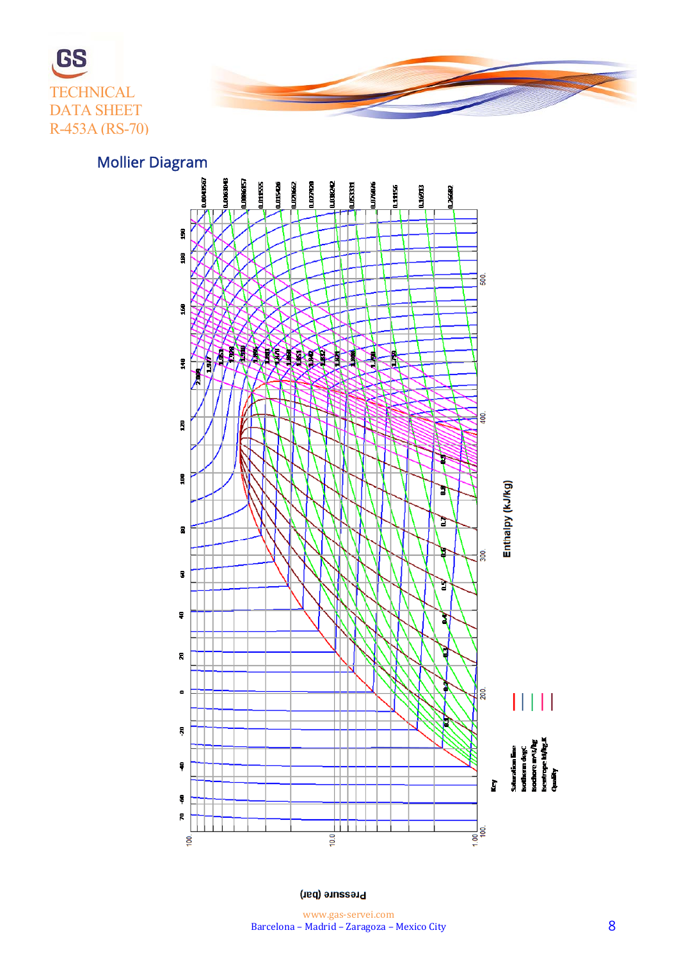



Mollier Diagram



**Pressure (bar)**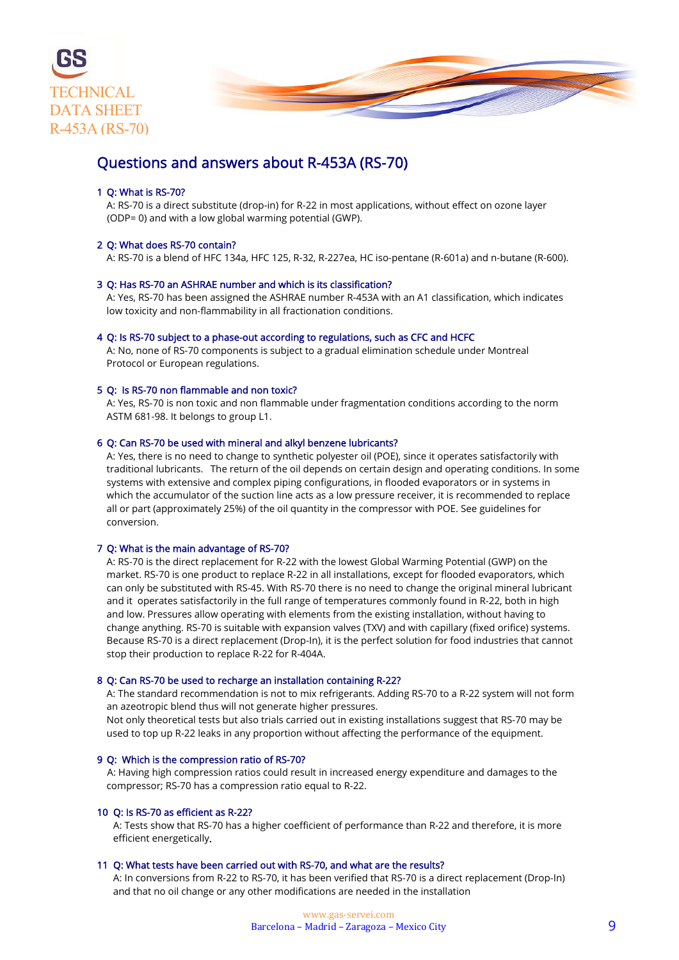

### Questions and answers about R-453A (RS-70)

#### 1 Q: What is RS-70?

 A: RS-70 is a direct substitute (drop-in) for R-22 in most applications, without effect on ozone layer (ODP= 0) and with a low global warming potential (GWP).

#### 2 Q: What does RS-70 contain?

A: RS-70 is a blend of HFC 134a, HFC 125, R-32, R-227ea, HC iso-pentane (R-601a) and n-butane (R-600).

#### 3 Q: Has RS-70 an ASHRAE number and which is its classification?

 A: Yes, RS-70 has been assigned the ASHRAE number R-453A with an A1 classification, which indicates low toxicity and non-flammability in all fractionation conditions.

#### 4 Q: Is RS-70 subject to a phase-out according to regulations, such as CFC and HCFC

 A: No, none of RS-70 components is subject to a gradual elimination schedule under Montreal Protocol or European regulations.

#### 5 Q: Is RS-70 non flammable and non toxic?

 A: Yes, RS-70 is non toxic and non flammable under fragmentation conditions according to the norm ASTM 681-98. It belongs to group L1.

#### 6 Q: Can RS-70 be used with mineral and alkyl benzene lubricants?

 A: Yes, there is no need to change to synthetic polyester oil (POE), since it operates satisfactorily with traditional lubricants. The return of the oil depends on certain design and operating conditions. In some systems with extensive and complex piping configurations, in flooded evaporators or in systems in which the accumulator of the suction line acts as a low pressure receiver, it is recommended to replace all or part (approximately 25%) of the oil quantity in the compressor with POE. See guidelines for conversion.

#### 7 Q: What is the main advantage of RS-70?

 A: RS-70 is the direct replacement for R-22 with the lowest Global Warming Potential (GWP) on the market. RS-70 is one product to replace R-22 in all installations, except for flooded evaporators, which can only be substituted with RS-45. With RS-70 there is no need to change the original mineral lubricant and it operates satisfactorily in the full range of temperatures commonly found in R-22, both in high and low. Pressures allow operating with elements from the existing installation, without having to change anything. RS-70 is suitable with expansion valves (TXV) and with capillary (fixed orifice) systems. Because RS-70 is a direct replacement (Drop-In), it is the perfect solution for food industries that cannot stop their production to replace R-22 for R-404A.

#### 8 Q: Can RS-70 be used to recharge an installation containing R-22?

 A: The standard recommendation is not to mix refrigerants. Adding RS-70 to a R-22 system will not form an azeotropic blend thus will not generate higher pressures.

 Not only theoretical tests but also trials carried out in existing installations suggest that RS-70 may be used to top up R-22 leaks in any proportion without affecting the performance of the equipment.

#### 9 Q: Which is the compression ratio of RS-70?

 A: Having high compression ratios could result in increased energy expenditure and damages to the compressor; RS-70 has a compression ratio equal to R-22.

#### 10 Q: Is RS-70 as efficient as R-22?

 A: Tests show that RS-70 has a higher coefficient of performance than R-22 and therefore, it is more efficient energetically.

#### 11 Q: What tests have been carried out with RS-70, and what are the results?

 A: In conversions from R-22 to RS-70, it has been verified that RS-70 is a direct replacement (Drop-In) and that no oil change or any other modifications are needed in the installation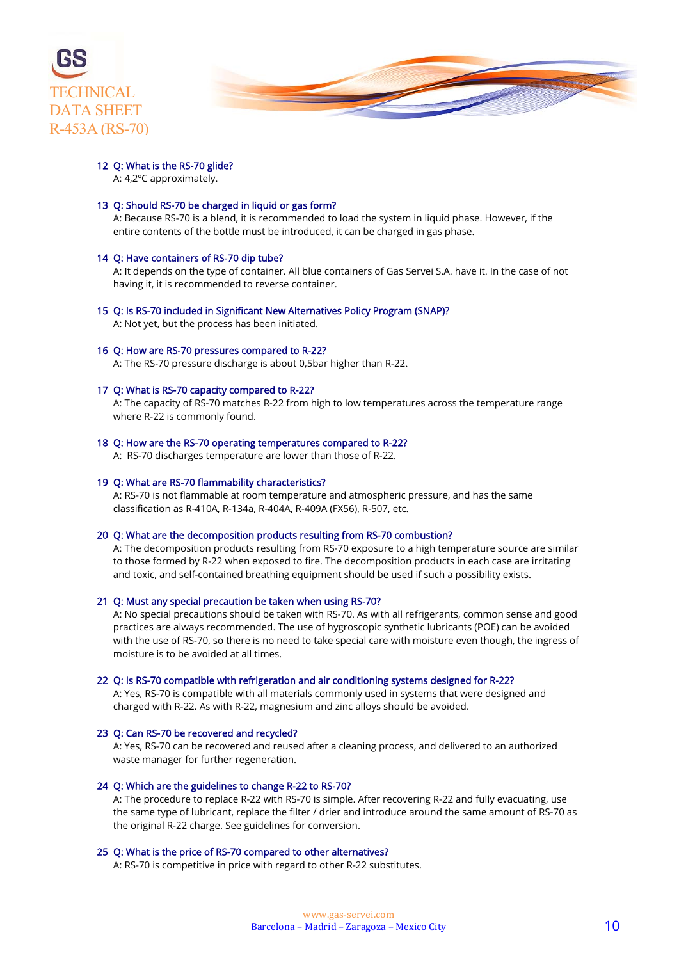



#### 12 Q: What is the RS-70 glide?

A: 4,2ºC approximately.

#### 13 Q: Should RS-70 be charged in liquid or gas form?

 A: Because RS-70 is a blend, it is recommended to load the system in liquid phase. However, if the entire contents of the bottle must be introduced, it can be charged in gas phase.

#### 14 Q: Have containers of RS-70 dip tube?

 A: It depends on the type of container. All blue containers of Gas Servei S.A. have it. In the case of not having it, it is recommended to reverse container.

#### 15 Q: Is RS-70 included in Significant New Alternatives Policy Program (SNAP)?

A: Not yet, but the process has been initiated.

#### 16 Q: How are RS-70 pressures compared to R-22?

A: The RS-70 pressure discharge is about 0,5bar higher than R-22.

#### 17 Q: What is RS-70 capacity compared to R-22?

 A: The capacity of RS-70 matches R-22 from high to low temperatures across the temperature range where R-22 is commonly found.

#### 18 Q: How are the RS-70 operating temperatures compared to R-22?

A: RS-70 discharges temperature are lower than those of R-22.

#### 19 Q: What are RS-70 flammability characteristics?

 A: RS-70 is not flammable at room temperature and atmospheric pressure, and has the same classification as R-410A, R-134a, R-404A, R-409A (FX56), R-507, etc.

#### 20 Q: What are the decomposition products resulting from RS-70 combustion?

 A: The decomposition products resulting from RS-70 exposure to a high temperature source are similar to those formed by R-22 when exposed to fire. The decomposition products in each case are irritating and toxic, and self-contained breathing equipment should be used if such a possibility exists.

#### 21 Q: Must any special precaution be taken when using RS-70?

 A: No special precautions should be taken with RS-70. As with all refrigerants, common sense and good practices are always recommended. The use of hygroscopic synthetic lubricants (POE) can be avoided with the use of RS-70, so there is no need to take special care with moisture even though, the ingress of moisture is to be avoided at all times.

#### 22 Q: Is RS-70 compatible with refrigeration and air conditioning systems designed for R-22?

 A: Yes, RS-70 is compatible with all materials commonly used in systems that were designed and charged with R-22. As with R-22, magnesium and zinc alloys should be avoided.

#### 23 Q: Can RS-70 be recovered and recycled?

 A: Yes, RS-70 can be recovered and reused after a cleaning process, and delivered to an authorized waste manager for further regeneration.

#### 24 Q: Which are the guidelines to change R-22 to RS-70?

 A: The procedure to replace R-22 with RS-70 is simple. After recovering R-22 and fully evacuating, use the same type of lubricant, replace the filter / drier and introduce around the same amount of RS-70 as the original R-22 charge. See guidelines for conversion.

#### 25 Q: What is the price of RS-70 compared to other alternatives?

A: RS-70 is competitive in price with regard to other R-22 substitutes.